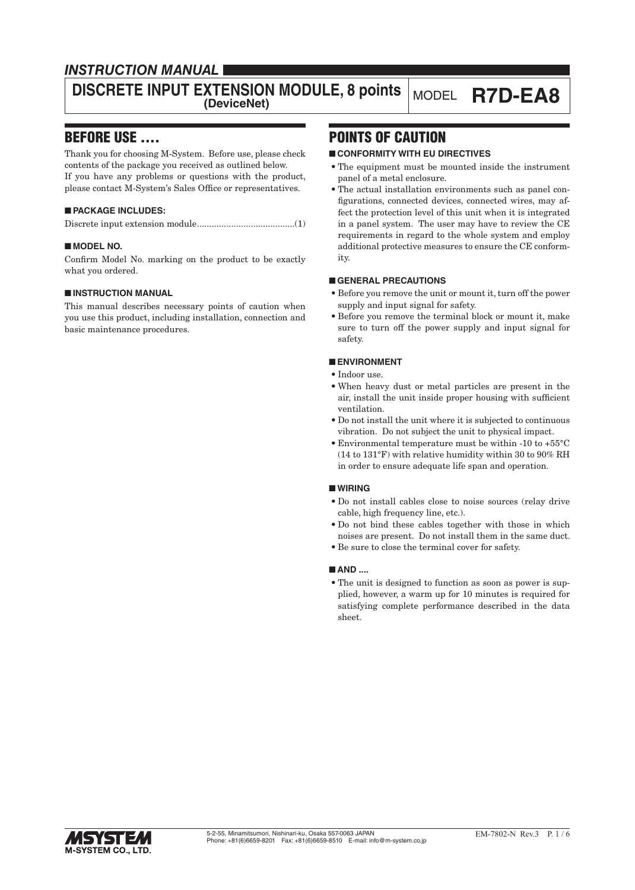# *INSTRUCTION MANUAL*

# **DISCRETE INPUT EXTENSION MODULE, 8 points MODEL R7D-EA8**

## BEFORE USE ....

Thank you for choosing M-System. Before use, please check contents of the package you received as outlined below. If you have any problems or questions with the product, please contact M-System's Sales Office or representatives.

#### ■ **PACKAGE INCLUDES:**

|--|--|

#### ■ **MODEL NO.**

Confirm Model No. marking on the product to be exactly what you ordered.

#### ■ **INSTRUCTION MANUAL**

This manual describes necessary points of caution when you use this product, including installation, connection and basic maintenance procedures.

# POINTS OF CAUTION

#### ■ **CONFORMITY WITH EU DIRECTIVES**

- The equipment must be mounted inside the instrument panel of a metal enclosure.
- The actual installation environments such as panel configurations, connected devices, connected wires, may affect the protection level of this unit when it is integrated in a panel system. The user may have to review the CE requirements in regard to the whole system and employ additional protective measures to ensure the CE conformity.

#### ■ **GENERAL PRECAUTIONS**

- Before you remove the unit or mount it, turn off the power supply and input signal for safety.
- Before you remove the terminal block or mount it, make sure to turn off the power supply and input signal for safety.

#### ■ **ENVIRONMENT**

- Indoor use.
- When heavy dust or metal particles are present in the air, install the unit inside proper housing with sufficient ventilation.
- Do not install the unit where it is subjected to continuous vibration. Do not subject the unit to physical impact.
- Environmental temperature must be within -10 to +55°C (14 to 131°F) with relative humidity within 30 to 90% RH in order to ensure adequate life span and operation.

#### ■ **WIRING**

- Do not install cables close to noise sources (relay drive cable, high frequency line, etc.).
- Do not bind these cables together with those in which noises are present. Do not install them in the same duct.
- Be sure to close the terminal cover for safety.

#### ■ **AND** ....

• The unit is designed to function as soon as power is supplied, however, a warm up for 10 minutes is required for satisfying complete performance described in the data sheet.

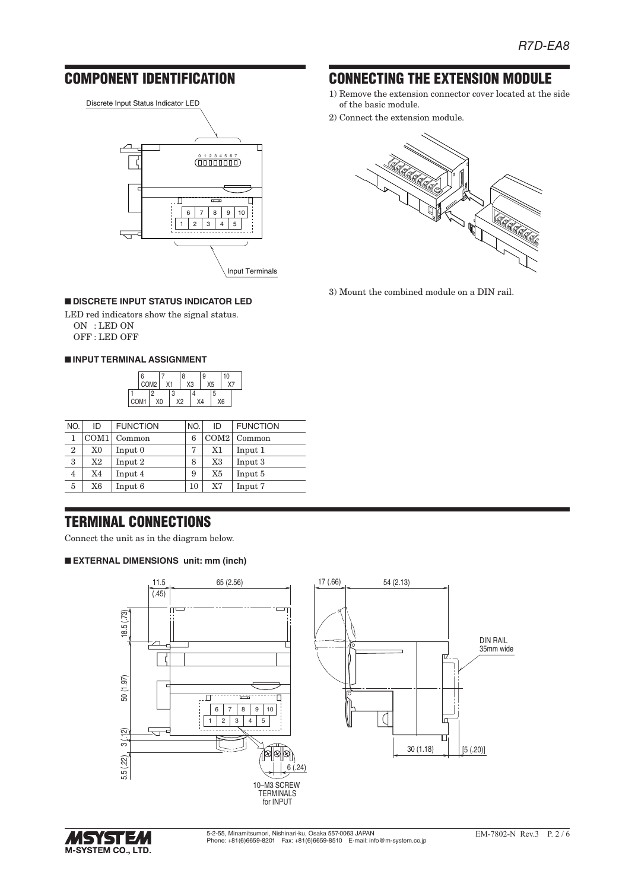CONNECTING THE EXTENSION MODULE 1) Remove the extension connector cover located at the side

of the basic module.

2) Connect the extension module.

3) Mount the combined module on a DIN rail.

# COMPONENT IDENTIFICATION

Discrete Input Status Indicator LED  $\frac{01234567}{(\text{111111111})}$ ┮ π  $6 | 7 | 8 | 9 | 10$  $1 2 3 4 5$  $\overline{\phantom{0}}$ 

Input Terminals

### ■ **DISCRETE INPUT STATUS INDICATOR LED**

LED red indicators show the signal status. ON : LED ON

OFF : LED OFF

#### ■ **INPUT TERMINAL ASSIGNMENT**



| NO.            | ID       | <b>FUNCTION</b> | NO. | ID             | <b>FUNCTION</b> |
|----------------|----------|-----------------|-----|----------------|-----------------|
| 1              | COM1     | Common          | 6   | COM2           | Common          |
| $\overline{2}$ | $\rm X0$ | Input 0         | 7   | X1             | Input 1         |
| 3              | X2       | Input 2         | 8   | X3             | Input 3         |
| $\overline{4}$ | X4       | Input 4         | 9   | X <sub>5</sub> | Input 5         |
| 5              | X6       | Input 6         | 10  | X7             | Input 7         |

# TERMINAL CONNECTIONS

Connect the unit as in the diagram below.

#### ■ **EXTERNAL DIMENSIONS unit: mm (inch)**





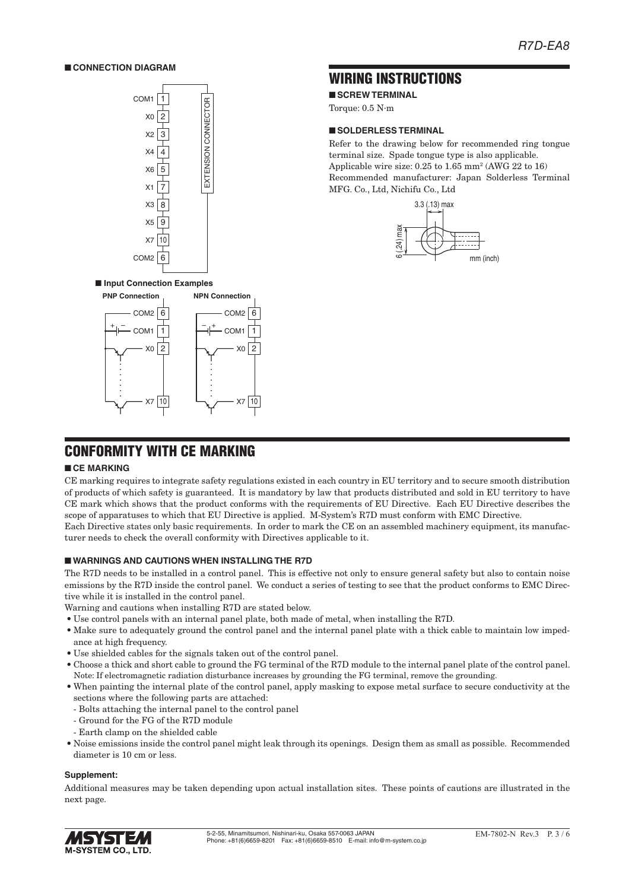#### ■ **CONNECTION DIAGRAM**



## WIRING INSTRUCTIONS

■ **SCREW TERMINAL** 

Torque: 0.5 N·m

#### ■ **SOLDERLESS TERMINAL**

Refer to the drawing below for recommended ring tongue terminal size. Spade tongue type is also applicable. Applicable wire size: 0.25 to 1.65 mm2 (AWG 22 to 16) Recommended manufacturer: Japan Solderless Terminal MFG. Co., Ltd, Nichifu Co., Ltd



# CONFORMITY WITH CE MARKING

1  $X<sub>0</sub>$  2

COM<sup>-</sup>

 $+$   $-$ 

#### ■ **CE MARKING**

CE marking requires to integrate safety regulations existed in each country in EU territory and to secure smooth distribution of products of which safety is guaranteed. It is mandatory by law that products distributed and sold in EU territory to have CE mark which shows that the product conforms with the requirements of EU Directive. Each EU Directive describes the scope of apparatuses to which that EU Directive is applied. M-System's R7D must conform with EMC Directive. Each Directive states only basic requirements. In order to mark the CE on an assembled machinery equipment, its manufac-

turer needs to check the overall conformity with Directives applicable to it.

#### ■ **WARNINGS AND CAUTIONS WHEN INSTALLING THE R7D**

The R7D needs to be installed in a control panel. This is effective not only to ensure general safety but also to contain noise emissions by the R7D inside the control panel. We conduct a series of testing to see that the product conforms to EMC Directive while it is installed in the control panel.

Warning and cautions when installing R7D are stated below.

• Use control panels with an internal panel plate, both made of metal, when installing the R7D.

COM1

 $- +$ 

 $X7 |10$   $\longrightarrow$   $X7 |10$ 

- Make sure to adequately ground the control panel and the internal panel plate with a thick cable to maintain low impedance at high frequency.
- Use shielded cables for the signals taken out of the control panel.
- Choose a thick and short cable to ground the FG terminal of the R7D module to the internal panel plate of the control panel. Note: If electromagnetic radiation disturbance increases by grounding the FG terminal, remove the grounding.
- When painting the internal plate of the control panel, apply masking to expose metal surface to secure conductivity at the sections where the following parts are attached:
- Bolts attaching the internal panel to the control panel
- Ground for the FG of the R7D module
- Earth clamp on the shielded cable
- Noise emissions inside the control panel might leak through its openings. Design them as small as possible. Recommended diameter is 10 cm or less.

#### **Supplement:**

Additional measures may be taken depending upon actual installation sites. These points of cautions are illustrated in the next page.

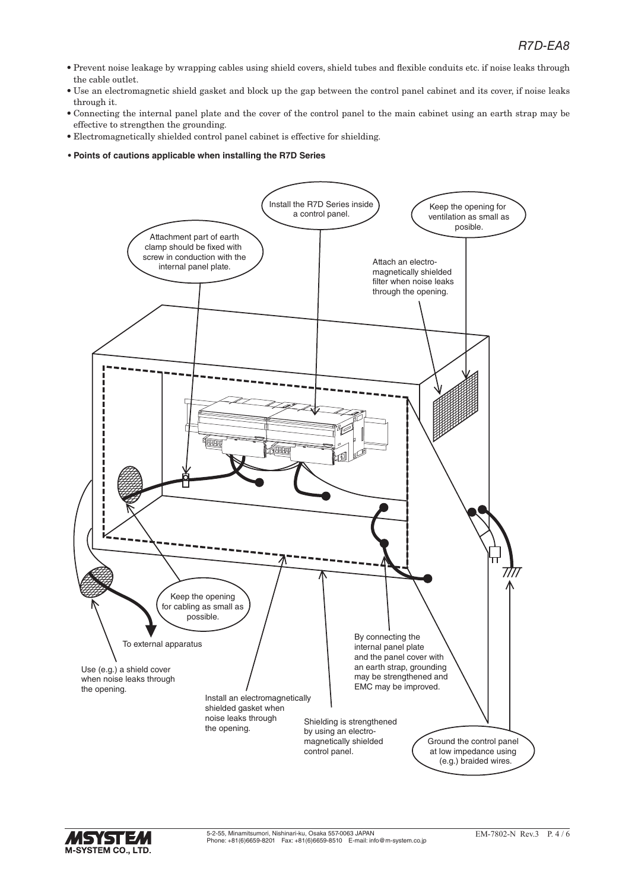- Prevent noise leakage by wrapping cables using shield covers, shield tubes and flexible conduits etc. if noise leaks through the cable outlet.
- Use an electromagnetic shield gasket and block up the gap between the control panel cabinet and its cover, if noise leaks through it.
- Connecting the internal panel plate and the cover of the control panel to the main cabinet using an earth strap may be effective to strengthen the grounding.
- Electromagnetically shielded control panel cabinet is effective for shielding.
- **Points of cautions applicable when installing the R7D Series**



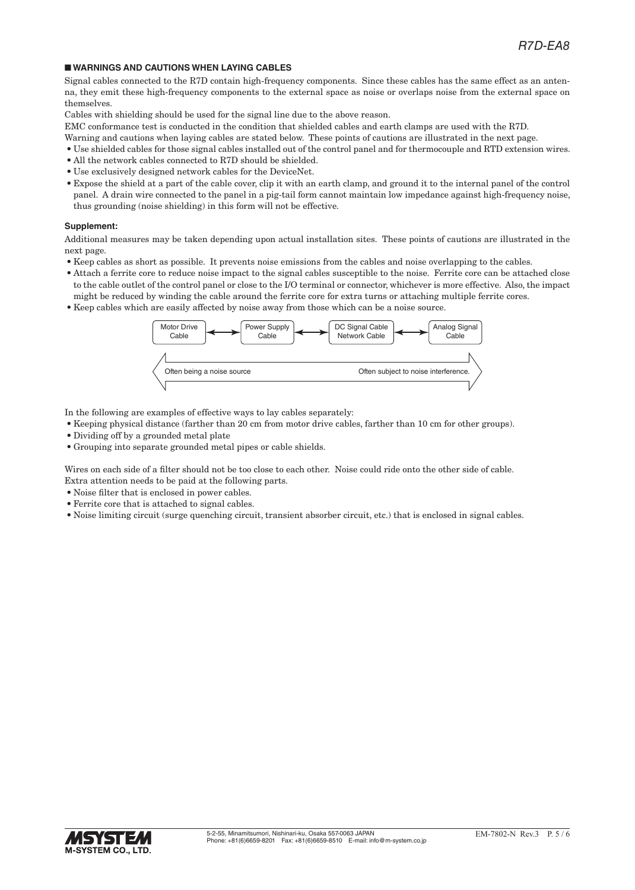#### ■ **WARNINGS AND CAUTIONS WHEN LAYING CABLES**

Signal cables connected to the R7D contain high-frequency components. Since these cables has the same effect as an antenna, they emit these high-frequency components to the external space as noise or overlaps noise from the external space on themselves.

Cables with shielding should be used for the signal line due to the above reason.

EMC conformance test is conducted in the condition that shielded cables and earth clamps are used with the R7D.

- Warning and cautions when laying cables are stated below. These points of cautions are illustrated in the next page.
- Use shielded cables for those signal cables installed out of the control panel and for thermocouple and RTD extension wires.
- All the network cables connected to R7D should be shielded.
- Use exclusively designed network cables for the DeviceNet.
- Expose the shield at a part of the cable cover, clip it with an earth clamp, and ground it to the internal panel of the control panel. A drain wire connected to the panel in a pig-tail form cannot maintain low impedance against high-frequency noise, thus grounding (noise shielding) in this form will not be effective.

#### **Supplement:**

Additional measures may be taken depending upon actual installation sites. These points of cautions are illustrated in the next page.

- Keep cables as short as possible. It prevents noise emissions from the cables and noise overlapping to the cables.
- Attach a ferrite core to reduce noise impact to the signal cables susceptible to the noise. Ferrite core can be attached close to the cable outlet of the control panel or close to the I/O terminal or connector, whichever is more effective. Also, the impact might be reduced by winding the cable around the ferrite core for extra turns or attaching multiple ferrite cores.
- Keep cables which are easily affected by noise away from those which can be a noise source.



In the following are examples of effective ways to lay cables separately:

- Keeping physical distance (farther than 20 cm from motor drive cables, farther than 10 cm for other groups).
- Dividing off by a grounded metal plate
- Grouping into separate grounded metal pipes or cable shields.

Wires on each side of a filter should not be too close to each other. Noise could ride onto the other side of cable. Extra attention needs to be paid at the following parts.

- Noise filter that is enclosed in power cables.
- Ferrite core that is attached to signal cables.
- Noise limiting circuit (surge quenching circuit, transient absorber circuit, etc.) that is enclosed in signal cables.